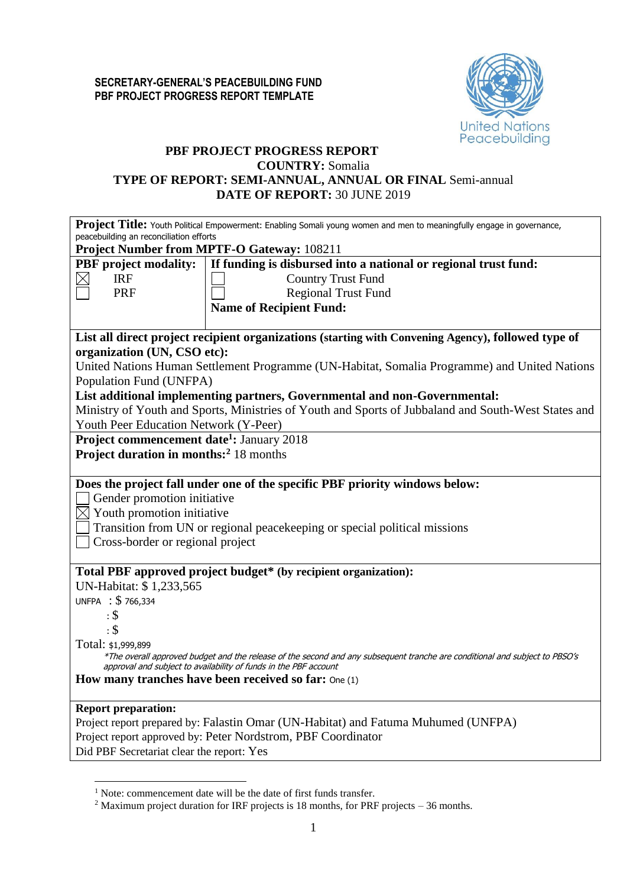

# **PBF PROJECT PROGRESS REPORT COUNTRY:** Somalia **TYPE OF REPORT: SEMI-ANNUAL, ANNUAL OR FINAL** Semi-annual **DATE OF REPORT:** 30 JUNE 2019

| Project Title: Youth Political Empowerment: Enabling Somali young women and men to meaningfully engage in governance,                                                                                                                                                 |                                                                                                                                                                                                 |  |  |  |  |  |  |  |  |
|-----------------------------------------------------------------------------------------------------------------------------------------------------------------------------------------------------------------------------------------------------------------------|-------------------------------------------------------------------------------------------------------------------------------------------------------------------------------------------------|--|--|--|--|--|--|--|--|
| peacebuilding an reconciliation efforts                                                                                                                                                                                                                               |                                                                                                                                                                                                 |  |  |  |  |  |  |  |  |
|                                                                                                                                                                                                                                                                       | Project Number from MPTF-O Gateway: 108211                                                                                                                                                      |  |  |  |  |  |  |  |  |
| <b>PBF</b> project modality:                                                                                                                                                                                                                                          | If funding is disbursed into a national or regional trust fund:                                                                                                                                 |  |  |  |  |  |  |  |  |
| <b>IRF</b><br>$\boxtimes$                                                                                                                                                                                                                                             | <b>Country Trust Fund</b>                                                                                                                                                                       |  |  |  |  |  |  |  |  |
| <b>PRF</b>                                                                                                                                                                                                                                                            | <b>Regional Trust Fund</b>                                                                                                                                                                      |  |  |  |  |  |  |  |  |
|                                                                                                                                                                                                                                                                       | <b>Name of Recipient Fund:</b>                                                                                                                                                                  |  |  |  |  |  |  |  |  |
|                                                                                                                                                                                                                                                                       | List all direct project recipient organizations (starting with Convening Agency), followed type of                                                                                              |  |  |  |  |  |  |  |  |
| organization (UN, CSO etc):                                                                                                                                                                                                                                           |                                                                                                                                                                                                 |  |  |  |  |  |  |  |  |
|                                                                                                                                                                                                                                                                       | United Nations Human Settlement Programme (UN-Habitat, Somalia Programme) and United Nations                                                                                                    |  |  |  |  |  |  |  |  |
| Population Fund (UNFPA)                                                                                                                                                                                                                                               |                                                                                                                                                                                                 |  |  |  |  |  |  |  |  |
|                                                                                                                                                                                                                                                                       | List additional implementing partners, Governmental and non-Governmental:                                                                                                                       |  |  |  |  |  |  |  |  |
| Youth Peer Education Network (Y-Peer)                                                                                                                                                                                                                                 | Ministry of Youth and Sports, Ministries of Youth and Sports of Jubbaland and South-West States and                                                                                             |  |  |  |  |  |  |  |  |
| Project commencement date <sup>1</sup> : January 2018                                                                                                                                                                                                                 |                                                                                                                                                                                                 |  |  |  |  |  |  |  |  |
| <b>Project duration in months:</b> <sup>2</sup> 18 months                                                                                                                                                                                                             |                                                                                                                                                                                                 |  |  |  |  |  |  |  |  |
|                                                                                                                                                                                                                                                                       |                                                                                                                                                                                                 |  |  |  |  |  |  |  |  |
| Does the project fall under one of the specific PBF priority windows below:<br>Gender promotion initiative<br>$\boxtimes$ Youth promotion initiative<br>Transition from UN or regional peacekeeping or special political missions<br>Cross-border or regional project |                                                                                                                                                                                                 |  |  |  |  |  |  |  |  |
|                                                                                                                                                                                                                                                                       | Total PBF approved project budget* (by recipient organization):                                                                                                                                 |  |  |  |  |  |  |  |  |
| UN-Habitat: \$1,233,565                                                                                                                                                                                                                                               |                                                                                                                                                                                                 |  |  |  |  |  |  |  |  |
| UNFPA : \$766,334                                                                                                                                                                                                                                                     |                                                                                                                                                                                                 |  |  |  |  |  |  |  |  |
| $\cdot$ \$                                                                                                                                                                                                                                                            |                                                                                                                                                                                                 |  |  |  |  |  |  |  |  |
| $\cdot$ \$                                                                                                                                                                                                                                                            |                                                                                                                                                                                                 |  |  |  |  |  |  |  |  |
| Total: \$1,999,899                                                                                                                                                                                                                                                    |                                                                                                                                                                                                 |  |  |  |  |  |  |  |  |
|                                                                                                                                                                                                                                                                       | *The overall approved budget and the release of the second and any subsequent tranche are conditional and subject to PBSO's<br>approval and subject to availability of funds in the PBF account |  |  |  |  |  |  |  |  |
|                                                                                                                                                                                                                                                                       | How many tranches have been received so far: One (1)                                                                                                                                            |  |  |  |  |  |  |  |  |
|                                                                                                                                                                                                                                                                       |                                                                                                                                                                                                 |  |  |  |  |  |  |  |  |
| <b>Report preparation:</b>                                                                                                                                                                                                                                            |                                                                                                                                                                                                 |  |  |  |  |  |  |  |  |
|                                                                                                                                                                                                                                                                       | Project report prepared by: Falastin Omar (UN-Habitat) and Fatuma Muhumed (UNFPA)                                                                                                               |  |  |  |  |  |  |  |  |
|                                                                                                                                                                                                                                                                       | Project report approved by: Peter Nordstrom, PBF Coordinator                                                                                                                                    |  |  |  |  |  |  |  |  |
| Did PBF Secretariat clear the report: Yes                                                                                                                                                                                                                             |                                                                                                                                                                                                 |  |  |  |  |  |  |  |  |

<u>.</u>

<sup>&</sup>lt;sup>1</sup> Note: commencement date will be the date of first funds transfer.

<sup>2</sup> Maximum project duration for IRF projects is 18 months, for PRF projects – 36 months.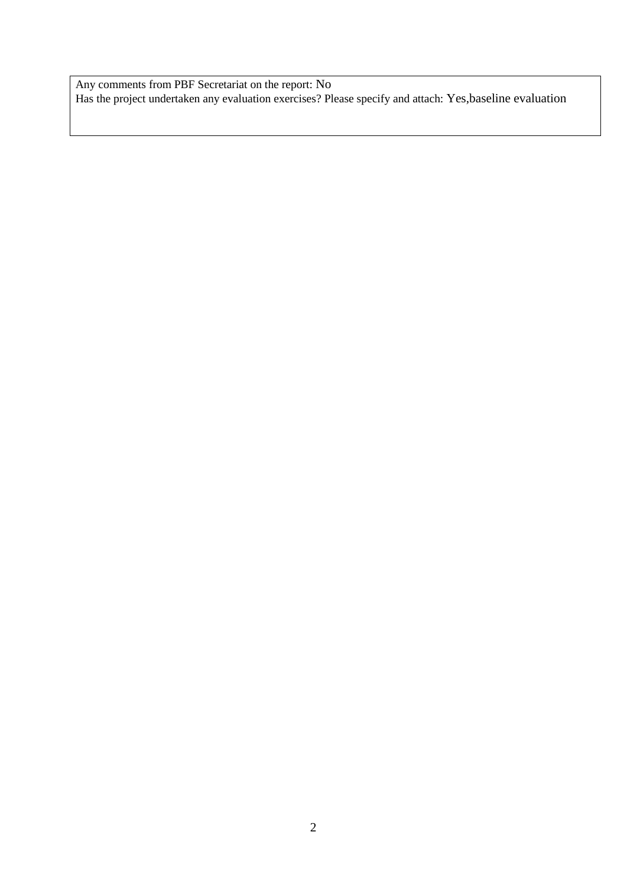Any comments from PBF Secretariat on the report: No Has the project undertaken any evaluation exercises? Please specify and attach: Yes,baseline evaluation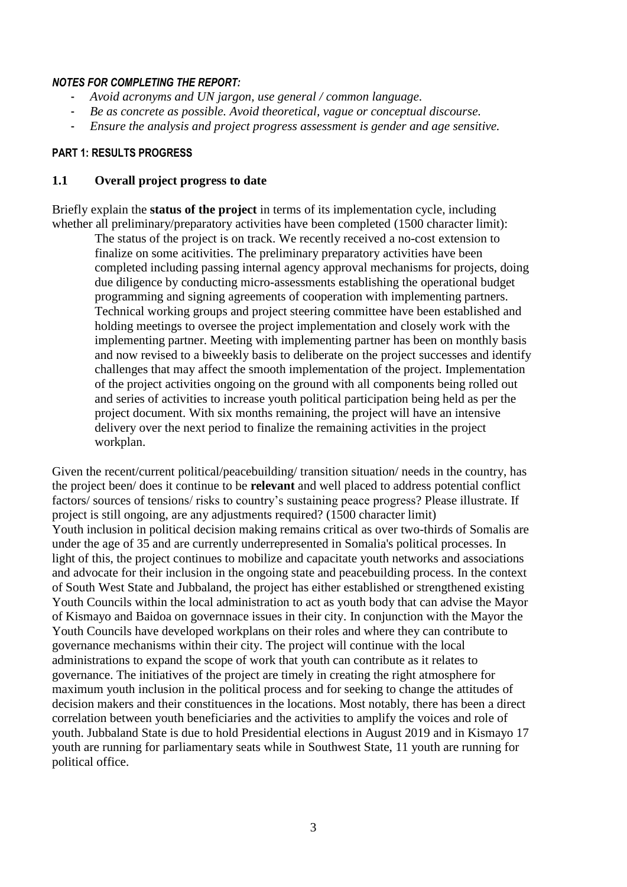### *NOTES FOR COMPLETING THE REPORT:*

- *Avoid acronyms and UN jargon, use general / common language.*
- *Be as concrete as possible. Avoid theoretical, vague or conceptual discourse.*
- *Ensure the analysis and project progress assessment is gender and age sensitive.*

### **PART 1: RESULTS PROGRESS**

## **1.1 Overall project progress to date**

Briefly explain the **status of the project** in terms of its implementation cycle, including whether all preliminary/preparatory activities have been completed (1500 character limit):

The status of the project is on track. We recently received a no-cost extension to finalize on some acitivities. The preliminary preparatory activities have been completed including passing internal agency approval mechanisms for projects, doing due diligence by conducting micro-assessments establishing the operational budget programming and signing agreements of cooperation with implementing partners. Technical working groups and project steering committee have been established and holding meetings to oversee the project implementation and closely work with the implementing partner. Meeting with implementing partner has been on monthly basis and now revised to a biweekly basis to deliberate on the project successes and identify challenges that may affect the smooth implementation of the project. Implementation of the project activities ongoing on the ground with all components being rolled out and series of activities to increase youth political participation being held as per the project document. With six months remaining, the project will have an intensive delivery over the next period to finalize the remaining activities in the project workplan.

Given the recent/current political/peacebuilding/ transition situation/ needs in the country, has the project been/ does it continue to be **relevant** and well placed to address potential conflict factors/ sources of tensions/ risks to country's sustaining peace progress? Please illustrate. If project is still ongoing, are any adjustments required? (1500 character limit) Youth inclusion in political decision making remains critical as over two-thirds of Somalis are under the age of 35 and are currently underrepresented in Somalia's political processes. In light of this, the project continues to mobilize and capacitate youth networks and associations and advocate for their inclusion in the ongoing state and peacebuilding process. In the context of South West State and Jubbaland, the project has either established or strengthened existing Youth Councils within the local administration to act as youth body that can advise the Mayor of Kismayo and Baidoa on governnace issues in their city. In conjunction with the Mayor the Youth Councils have developed workplans on their roles and where they can contribute to governance mechanisms within their city. The project will continue with the local administrations to expand the scope of work that youth can contribute as it relates to governance. The initiatives of the project are timely in creating the right atmosphere for maximum youth inclusion in the political process and for seeking to change the attitudes of decision makers and their constituences in the locations. Most notably, there has been a direct correlation between youth beneficiaries and the activities to amplify the voices and role of youth. Jubbaland State is due to hold Presidential elections in August 2019 and in Kismayo 17 youth are running for parliamentary seats while in Southwest State, 11 youth are running for political office.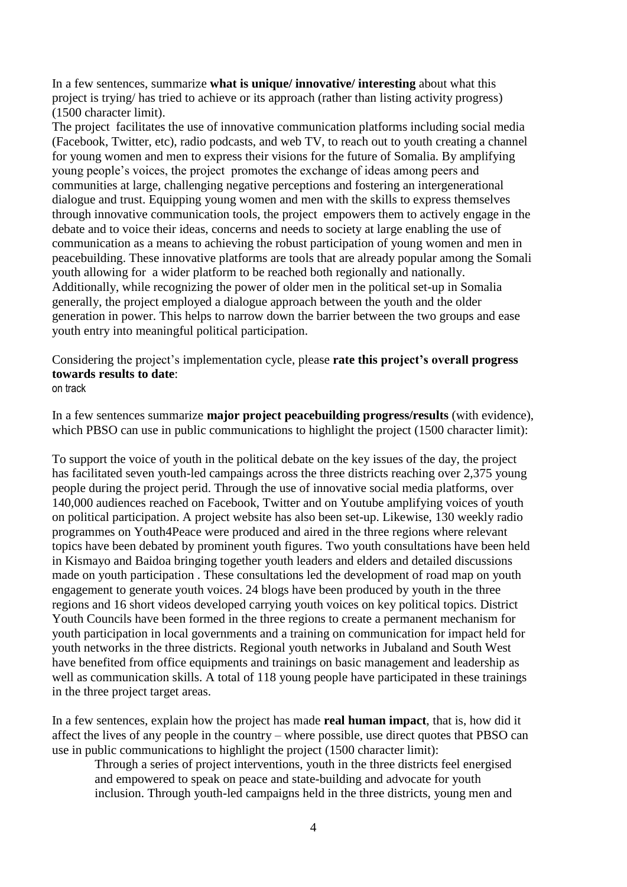In a few sentences, summarize **what is unique/ innovative/ interesting** about what this project is trying/ has tried to achieve or its approach (rather than listing activity progress) (1500 character limit).

The project facilitates the use of innovative communication platforms including social media (Facebook, Twitter, etc), radio podcasts, and web TV, to reach out to youth creating a channel for young women and men to express their visions for the future of Somalia. By amplifying young people's voices, the project promotes the exchange of ideas among peers and communities at large, challenging negative perceptions and fostering an intergenerational dialogue and trust. Equipping young women and men with the skills to express themselves through innovative communication tools, the project empowers them to actively engage in the debate and to voice their ideas, concerns and needs to society at large enabling the use of communication as a means to achieving the robust participation of young women and men in peacebuilding. These innovative platforms are tools that are already popular among the Somali youth allowing for a wider platform to be reached both regionally and nationally. Additionally, while recognizing the power of older men in the political set-up in Somalia generally, the project employed a dialogue approach between the youth and the older generation in power. This helps to narrow down the barrier between the two groups and ease youth entry into meaningful political participation.

Considering the project's implementation cycle, please **rate this project's overall progress towards results to date**: on track

In a few sentences summarize **major project peacebuilding progress/results** (with evidence), which PBSO can use in public communications to highlight the project (1500 character limit):

To support the voice of youth in the political debate on the key issues of the day, the project has facilitated seven youth-led campaings across the three districts reaching over 2,375 young people during the project perid. Through the use of innovative social media platforms, over 140,000 audiences reached on Facebook, Twitter and on Youtube amplifying voices of youth on political participation. A project website has also been set-up. Likewise, 130 weekly radio programmes on Youth4Peace were produced and aired in the three regions where relevant topics have been debated by prominent youth figures. Two youth consultations have been held in Kismayo and Baidoa bringing together youth leaders and elders and detailed discussions made on youth participation . These consultations led the development of road map on youth engagement to generate youth voices. 24 blogs have been produced by youth in the three regions and 16 short videos developed carrying youth voices on key political topics. District Youth Councils have been formed in the three regions to create a permanent mechanism for youth participation in local governments and a training on communication for impact held for youth networks in the three districts. Regional youth networks in Jubaland and South West have benefited from office equipments and trainings on basic management and leadership as well as communication skills. A total of 118 young people have participated in these trainings in the three project target areas.

In a few sentences, explain how the project has made **real human impact**, that is, how did it affect the lives of any people in the country – where possible, use direct quotes that PBSO can use in public communications to highlight the project (1500 character limit):

Through a series of project interventions, youth in the three districts feel energised and empowered to speak on peace and state-building and advocate for youth inclusion. Through youth-led campaigns held in the three districts, young men and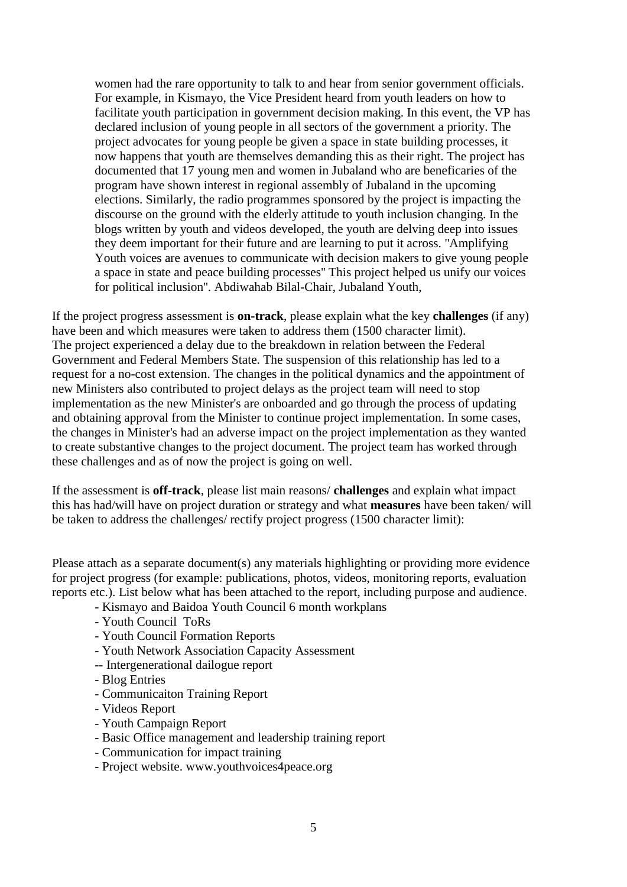women had the rare opportunity to talk to and hear from senior government officials. For example, in Kismayo, the Vice President heard from youth leaders on how to facilitate youth participation in government decision making. In this event, the VP has declared inclusion of young people in all sectors of the government a priority. The project advocates for young people be given a space in state building processes, it now happens that youth are themselves demanding this as their right. The project has documented that 17 young men and women in Jubaland who are beneficaries of the program have shown interest in regional assembly of Jubaland in the upcoming elections. Similarly, the radio programmes sponsored by the project is impacting the discourse on the ground with the elderly attitude to youth inclusion changing. In the blogs written by youth and videos developed, the youth are delving deep into issues they deem important for their future and are learning to put it across. ''Amplifying Youth voices are avenues to communicate with decision makers to give young people a space in state and peace building processes'' This project helped us unify our voices for political inclusion''. Abdiwahab Bilal-Chair, Jubaland Youth,

If the project progress assessment is **on-track**, please explain what the key **challenges** (if any) have been and which measures were taken to address them (1500 character limit). The project experienced a delay due to the breakdown in relation between the Federal Government and Federal Members State. The suspension of this relationship has led to a request for a no-cost extension. The changes in the political dynamics and the appointment of new Ministers also contributed to project delays as the project team will need to stop implementation as the new Minister's are onboarded and go through the process of updating and obtaining approval from the Minister to continue project implementation. In some cases, the changes in Minister's had an adverse impact on the project implementation as they wanted to create substantive changes to the project document. The project team has worked through these challenges and as of now the project is going on well.

If the assessment is **off-track**, please list main reasons/ **challenges** and explain what impact this has had/will have on project duration or strategy and what **measures** have been taken/ will be taken to address the challenges/ rectify project progress (1500 character limit):

Please attach as a separate document(s) any materials highlighting or providing more evidence for project progress (for example: publications, photos, videos, monitoring reports, evaluation reports etc.). List below what has been attached to the report, including purpose and audience.

- Kismayo and Baidoa Youth Council 6 month workplans
- Youth Council ToRs
- Youth Council Formation Reports
- Youth Network Association Capacity Assessment
- -- Intergenerational dailogue report
- Blog Entries
- Communicaiton Training Report
- Videos Report
- Youth Campaign Report
- Basic Office management and leadership training report
- Communication for impact training
- Project website. www.youthvoices4peace.org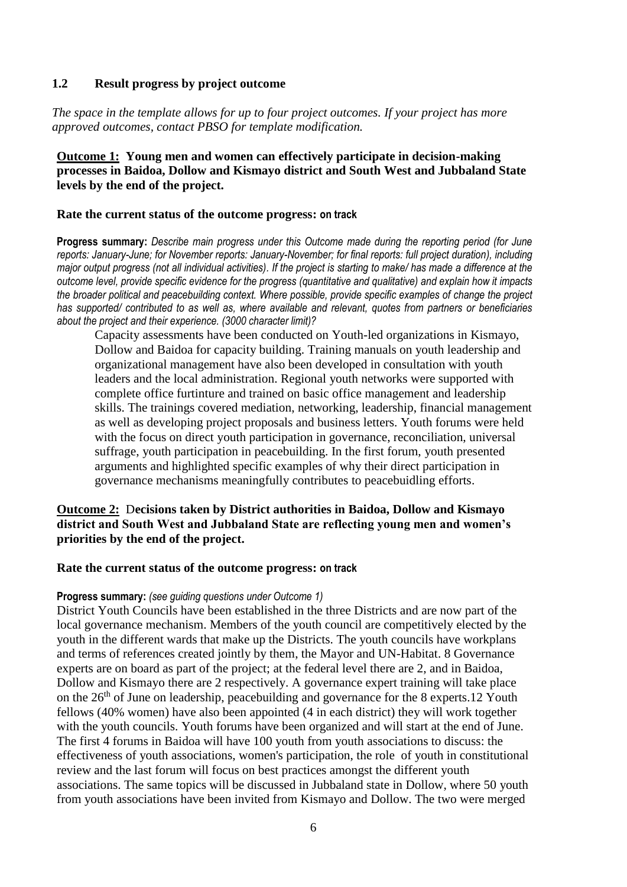## **1.2 Result progress by project outcome**

*The space in the template allows for up to four project outcomes. If your project has more approved outcomes, contact PBSO for template modification.*

# **Outcome 1: Young men and women can effectively participate in decision-making processes in Baidoa, Dollow and Kismayo district and South West and Jubbaland State levels by the end of the project.**

#### **Rate the current status of the outcome progress: on track**

**Progress summary:** *Describe main progress under this Outcome made during the reporting period (for June reports: January-June; for November reports: January-November; for final reports: full project duration), including major output progress (not all individual activities). If the project is starting to make/ has made a difference at the outcome level, provide specific evidence for the progress (quantitative and qualitative) and explain how it impacts the broader political and peacebuilding context. Where possible, provide specific examples of change the project has supported/ contributed to as well as, where available and relevant, quotes from partners or beneficiaries about the project and their experience. (3000 character limit)?* 

Capacity assessments have been conducted on Youth-led organizations in Kismayo, Dollow and Baidoa for capacity building. Training manuals on youth leadership and organizational management have also been developed in consultation with youth leaders and the local administration. Regional youth networks were supported with complete office furtinture and trained on basic office management and leadership skills. The trainings covered mediation, networking, leadership, financial management as well as developing project proposals and business letters. Youth forums were held with the focus on direct youth participation in governance, reconciliation, universal suffrage, youth participation in peacebuilding. In the first forum, youth presented arguments and highlighted specific examples of why their direct participation in governance mechanisms meaningfully contributes to peacebuidling efforts.

## **Outcome 2:** D**ecisions taken by District authorities in Baidoa, Dollow and Kismayo district and South West and Jubbaland State are reflecting young men and women's priorities by the end of the project.**

#### **Rate the current status of the outcome progress: on track**

#### **Progress summary:** *(see guiding questions under Outcome 1)*

District Youth Councils have been established in the three Districts and are now part of the local governance mechanism. Members of the youth council are competitively elected by the youth in the different wards that make up the Districts. The youth councils have workplans and terms of references created jointly by them, the Mayor and UN-Habitat. 8 Governance experts are on board as part of the project; at the federal level there are 2, and in Baidoa, Dollow and Kismayo there are 2 respectively. A governance expert training will take place on the  $26<sup>th</sup>$  of June on leadership, peacebuilding and governance for the 8 experts.12 Youth fellows (40% women) have also been appointed (4 in each district) they will work together with the youth councils. Youth forums have been organized and will start at the end of June. The first 4 forums in Baidoa will have 100 youth from youth associations to discuss: the effectiveness of youth associations, women's participation, the role of youth in constitutional review and the last forum will focus on best practices amongst the different youth associations. The same topics will be discussed in Jubbaland state in Dollow, where 50 youth from youth associations have been invited from Kismayo and Dollow. The two were merged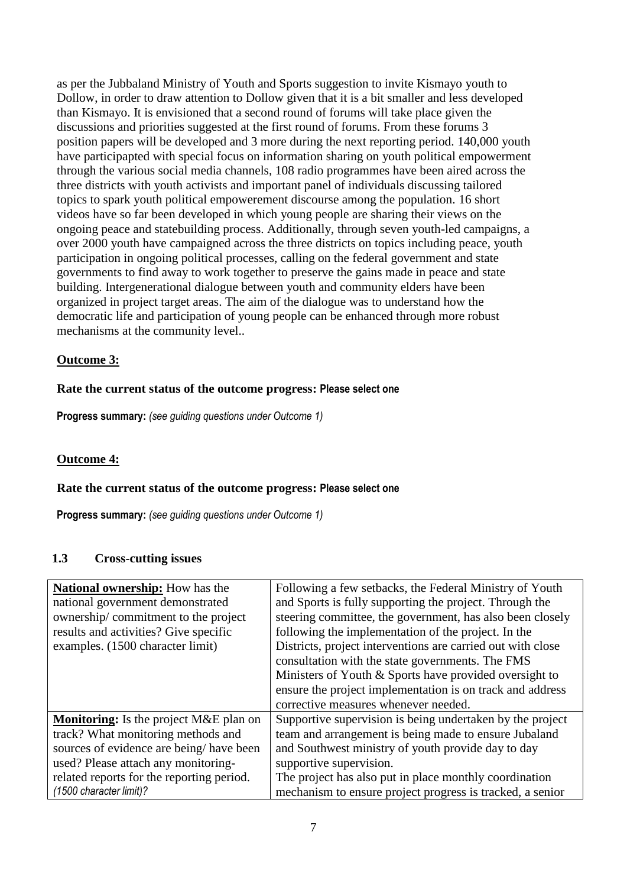as per the Jubbaland Ministry of Youth and Sports suggestion to invite Kismayo youth to Dollow, in order to draw attention to Dollow given that it is a bit smaller and less developed than Kismayo. It is envisioned that a second round of forums will take place given the discussions and priorities suggested at the first round of forums. From these forums 3 position papers will be developed and 3 more during the next reporting period. 140,000 youth have participapted with special focus on information sharing on youth political empowerment through the various social media channels, 108 radio programmes have been aired across the three districts with youth activists and important panel of individuals discussing tailored topics to spark youth political empowerement discourse among the population. 16 short videos have so far been developed in which young people are sharing their views on the ongoing peace and statebuilding process. Additionally, through seven youth-led campaigns, a over 2000 youth have campaigned across the three districts on topics including peace, youth participation in ongoing political processes, calling on the federal government and state governments to find away to work together to preserve the gains made in peace and state building. Intergenerational dialogue between youth and community elders have been organized in project target areas. The aim of the dialogue was to understand how the democratic life and participation of young people can be enhanced through more robust mechanisms at the community level..

# **Outcome 3:**

## **Rate the current status of the outcome progress: Please select one**

**Progress summary:** *(see guiding questions under Outcome 1)* 

## **Outcome 4:**

### **Rate the current status of the outcome progress: Please select one**

**Progress summary:** *(see guiding questions under Outcome 1)* 

## **1.3 Cross-cutting issues**

| <b>National ownership:</b> How has the        | Following a few setbacks, the Federal Ministry of Youth     |
|-----------------------------------------------|-------------------------------------------------------------|
| national government demonstrated              | and Sports is fully supporting the project. Through the     |
| ownership/commitment to the project           | steering committee, the government, has also been closely   |
| results and activities? Give specific         | following the implementation of the project. In the         |
| examples. (1500 character limit)              | Districts, project interventions are carried out with close |
|                                               | consultation with the state governments. The FMS            |
|                                               | Ministers of Youth & Sports have provided oversight to      |
|                                               | ensure the project implementation is on track and address   |
|                                               | corrective measures whenever needed.                        |
| <b>Monitoring:</b> Is the project M&E plan on | Supportive supervision is being undertaken by the project   |
| track? What monitoring methods and            | team and arrangement is being made to ensure Jubaland       |
| sources of evidence are being/have been       | and Southwest ministry of youth provide day to day          |
| used? Please attach any monitoring-           | supportive supervision.                                     |
| related reports for the reporting period.     | The project has also put in place monthly coordination      |
| (1500 character limit)?                       | mechanism to ensure project progress is tracked, a senior   |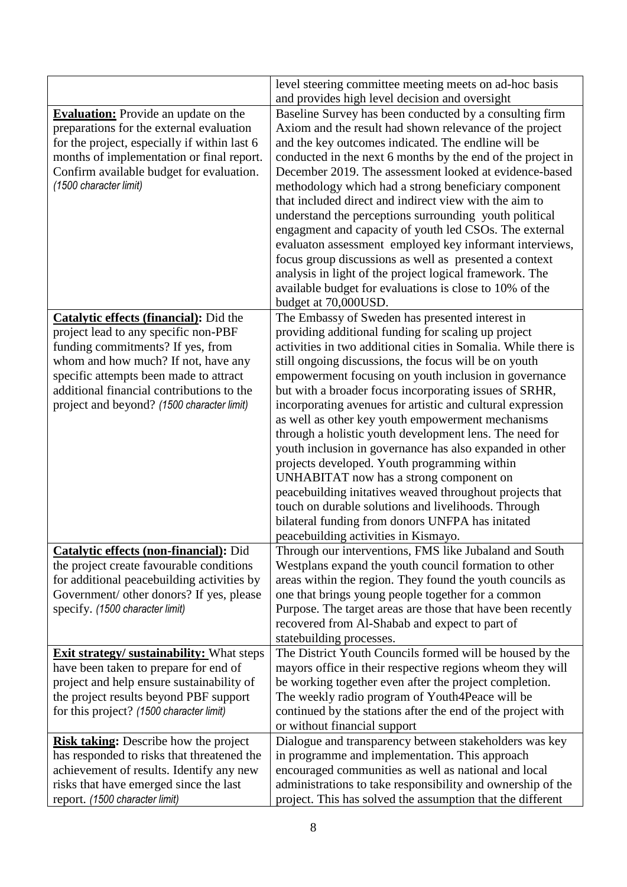|                                                                                        | level steering committee meeting meets on ad-hoc basis                                                             |
|----------------------------------------------------------------------------------------|--------------------------------------------------------------------------------------------------------------------|
|                                                                                        | and provides high level decision and oversight                                                                     |
| <b>Evaluation:</b> Provide an update on the                                            | Baseline Survey has been conducted by a consulting firm                                                            |
| preparations for the external evaluation                                               | Axiom and the result had shown relevance of the project                                                            |
| for the project, especially if within last 6                                           | and the key outcomes indicated. The endline will be                                                                |
| months of implementation or final report.                                              | conducted in the next 6 months by the end of the project in                                                        |
| Confirm available budget for evaluation.                                               | December 2019. The assessment looked at evidence-based                                                             |
| (1500 character limit)                                                                 | methodology which had a strong beneficiary component                                                               |
|                                                                                        | that included direct and indirect view with the aim to                                                             |
|                                                                                        | understand the perceptions surrounding youth political                                                             |
|                                                                                        | engagment and capacity of youth led CSOs. The external                                                             |
|                                                                                        | evaluaton assessment employed key informant interviews,                                                            |
|                                                                                        | focus group discussions as well as presented a context                                                             |
|                                                                                        | analysis in light of the project logical framework. The                                                            |
|                                                                                        | available budget for evaluations is close to 10% of the                                                            |
|                                                                                        | budget at 70,000USD.                                                                                               |
| <b>Catalytic effects (financial):</b> Did the                                          | The Embassy of Sweden has presented interest in                                                                    |
| project lead to any specific non-PBF                                                   | providing additional funding for scaling up project                                                                |
| funding commitments? If yes, from                                                      | activities in two additional cities in Somalia. While there is                                                     |
| whom and how much? If not, have any                                                    | still ongoing discussions, the focus will be on youth                                                              |
| specific attempts been made to attract                                                 | empowerment focusing on youth inclusion in governance                                                              |
| additional financial contributions to the                                              | but with a broader focus incorporating issues of SRHR,                                                             |
| project and beyond? (1500 character limit)                                             | incorporating avenues for artistic and cultural expression                                                         |
|                                                                                        | as well as other key youth empowerment mechanisms                                                                  |
|                                                                                        | through a holistic youth development lens. The need for                                                            |
|                                                                                        | youth inclusion in governance has also expanded in other                                                           |
|                                                                                        | projects developed. Youth programming within                                                                       |
|                                                                                        | UNHABITAT now has a strong component on                                                                            |
|                                                                                        | peacebuilding initatives weaved throughout projects that                                                           |
|                                                                                        | touch on durable solutions and livelihoods. Through                                                                |
|                                                                                        | bilateral funding from donors UNFPA has initated                                                                   |
|                                                                                        | peacebuilding activities in Kismayo.<br>Through our interventions, FMS like Jubaland and South                     |
| <b>Catalytic effects (non-financial):</b> Did                                          |                                                                                                                    |
| the project create favourable conditions<br>for additional peacebuilding activities by | Westplans expand the youth council formation to other<br>areas within the region. They found the youth councils as |
| Government/ other donors? If yes, please                                               | one that brings young people together for a common                                                                 |
| specify. (1500 character limit)                                                        | Purpose. The target areas are those that have been recently                                                        |
|                                                                                        | recovered from Al-Shabab and expect to part of                                                                     |
|                                                                                        | statebuilding processes.                                                                                           |
| <b>Exit strategy/ sustainability:</b> What steps                                       | The District Youth Councils formed will be housed by the                                                           |
| have been taken to prepare for end of                                                  | mayors office in their respective regions wheom they will                                                          |
| project and help ensure sustainability of                                              | be working together even after the project completion.                                                             |
| the project results beyond PBF support                                                 | The weekly radio program of Youth4Peace will be                                                                    |
| for this project? (1500 character limit)                                               | continued by the stations after the end of the project with                                                        |
|                                                                                        | or without financial support                                                                                       |
| <b>Risk taking:</b> Describe how the project                                           | Dialogue and transparency between stakeholders was key                                                             |
| has responded to risks that threatened the                                             | in programme and implementation. This approach                                                                     |
| achievement of results. Identify any new                                               | encouraged communities as well as national and local                                                               |
| risks that have emerged since the last                                                 | administrations to take responsibility and ownership of the                                                        |
| report. (1500 character limit)                                                         | project. This has solved the assumption that the different                                                         |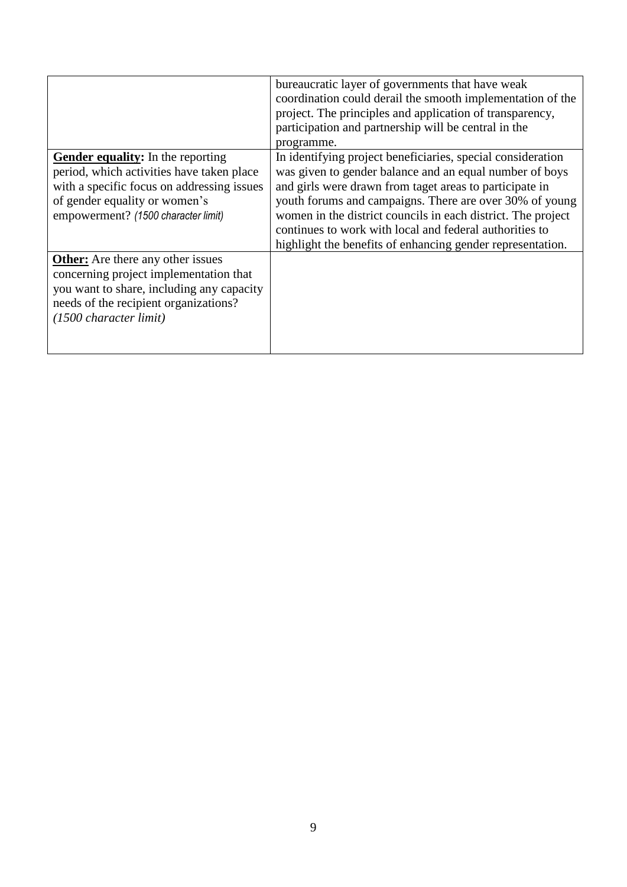|                                            | bureaucratic layer of governments that have weak<br>coordination could derail the smooth implementation of the<br>project. The principles and application of transparency,<br>participation and partnership will be central in the<br>programme. |
|--------------------------------------------|--------------------------------------------------------------------------------------------------------------------------------------------------------------------------------------------------------------------------------------------------|
| <b>Gender equality:</b> In the reporting   | In identifying project beneficiaries, special consideration                                                                                                                                                                                      |
| period, which activities have taken place  | was given to gender balance and an equal number of boys                                                                                                                                                                                          |
| with a specific focus on addressing issues | and girls were drawn from taget areas to participate in                                                                                                                                                                                          |
| of gender equality or women's              | youth forums and campaigns. There are over 30% of young                                                                                                                                                                                          |
| empowerment? (1500 character limit)        | women in the district councils in each district. The project                                                                                                                                                                                     |
|                                            | continues to work with local and federal authorities to                                                                                                                                                                                          |
|                                            | highlight the benefits of enhancing gender representation.                                                                                                                                                                                       |
| <b>Other:</b> Are there any other issues   |                                                                                                                                                                                                                                                  |
| concerning project implementation that     |                                                                                                                                                                                                                                                  |
| you want to share, including any capacity  |                                                                                                                                                                                                                                                  |
| needs of the recipient organizations?      |                                                                                                                                                                                                                                                  |
| (1500 character limit)                     |                                                                                                                                                                                                                                                  |
|                                            |                                                                                                                                                                                                                                                  |
|                                            |                                                                                                                                                                                                                                                  |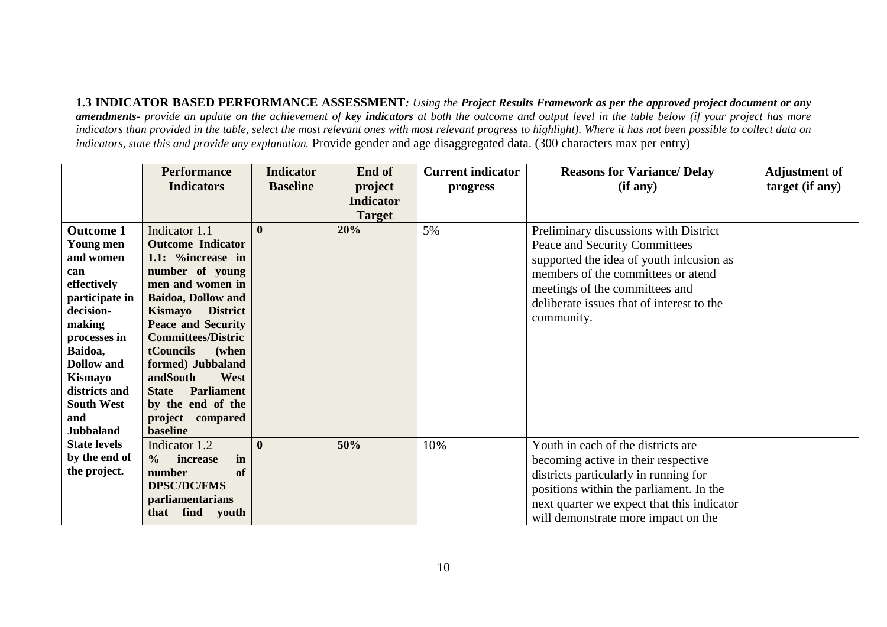**1.3 INDICATOR BASED PERFORMANCE ASSESSMENT***: Using the Project Results Framework as per the approved project document or any amendments- provide an update on the achievement of key indicators at both the outcome and output level in the table below (if your project has more indicators than provided in the table, select the most relevant ones with most relevant progress to highlight). Where it has not been possible to collect data on indicators, state this and provide any explanation.* Provide gender and age disaggregated data. (300 characters max per entry)

|                              | <b>Performance</b>                             | <b>Indicator</b> | End of           | <b>Current indicator</b> | <b>Reasons for Variance/ Delay</b>         | <b>Adjustment of</b> |
|------------------------------|------------------------------------------------|------------------|------------------|--------------------------|--------------------------------------------|----------------------|
|                              | <b>Indicators</b>                              | <b>Baseline</b>  | project          | progress                 | (if any)                                   | target (if any)      |
|                              |                                                |                  | <b>Indicator</b> |                          |                                            |                      |
|                              |                                                |                  | <b>Target</b>    |                          |                                            |                      |
| <b>Outcome 1</b>             | Indicator 1.1                                  | $\mathbf{0}$     | 20%              | 5%                       | Preliminary discussions with District      |                      |
| Young men                    | <b>Outcome Indicator</b>                       |                  |                  |                          | Peace and Security Committees              |                      |
| and women                    | 1.1: %increase in                              |                  |                  |                          | supported the idea of youth inlcusion as   |                      |
| can                          | number of young                                |                  |                  |                          | members of the committees or atend         |                      |
| effectively                  | men and women in                               |                  |                  |                          | meetings of the committees and             |                      |
| participate in               | <b>Baidoa, Dollow and</b>                      |                  |                  |                          | deliberate issues that of interest to the  |                      |
| decision-                    | Kismayo District                               |                  |                  |                          | community.                                 |                      |
| making                       | <b>Peace and Security</b>                      |                  |                  |                          |                                            |                      |
| processes in                 | <b>Committees/Distric</b>                      |                  |                  |                          |                                            |                      |
| Baidoa,<br><b>Dollow</b> and | <b>tCouncils</b><br>(when<br>formed) Jubbaland |                  |                  |                          |                                            |                      |
| Kismayo                      | andSouth<br>West                               |                  |                  |                          |                                            |                      |
| districts and                | <b>Parliament</b><br><b>State</b>              |                  |                  |                          |                                            |                      |
| <b>South West</b>            | by the end of the                              |                  |                  |                          |                                            |                      |
| and                          | project compared                               |                  |                  |                          |                                            |                      |
| <b>Jubbaland</b>             | <b>baseline</b>                                |                  |                  |                          |                                            |                      |
| <b>State levels</b>          | Indicator 1.2                                  | $\mathbf{0}$     | 50%              | 10%                      | Youth in each of the districts are         |                      |
| by the end of                | increase<br>in<br>$\%$                         |                  |                  |                          | becoming active in their respective        |                      |
| the project.                 | number<br>of                                   |                  |                  |                          | districts particularly in running for      |                      |
|                              | <b>DPSC/DC/FMS</b>                             |                  |                  |                          | positions within the parliament. In the    |                      |
|                              | parliamentarians                               |                  |                  |                          | next quarter we expect that this indicator |                      |
|                              | find<br>that<br>youth                          |                  |                  |                          | will demonstrate more impact on the        |                      |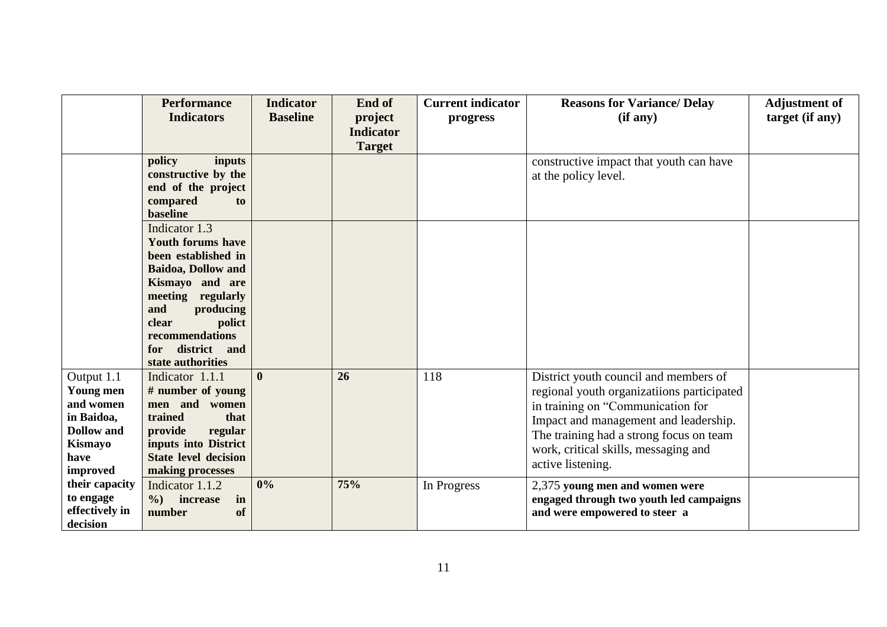|                                                                                                                      | <b>Performance</b><br><b>Indicators</b>                                                                                                                                                                                                     | <b>Indicator</b><br><b>Baseline</b> | End of<br>project<br><b>Indicator</b><br><b>Target</b> | <b>Current indicator</b><br>progress | <b>Reasons for Variance/Delay</b><br>(if any)                                                                                                                                                                                                                             | <b>Adjustment of</b><br>target (if any) |
|----------------------------------------------------------------------------------------------------------------------|---------------------------------------------------------------------------------------------------------------------------------------------------------------------------------------------------------------------------------------------|-------------------------------------|--------------------------------------------------------|--------------------------------------|---------------------------------------------------------------------------------------------------------------------------------------------------------------------------------------------------------------------------------------------------------------------------|-----------------------------------------|
|                                                                                                                      | policy<br>inputs<br>constructive by the<br>end of the project<br>compared<br>to<br><b>baseline</b>                                                                                                                                          |                                     |                                                        |                                      | constructive impact that youth can have<br>at the policy level.                                                                                                                                                                                                           |                                         |
|                                                                                                                      | Indicator 1.3<br><b>Youth forums have</b><br>been established in<br><b>Baidoa, Dollow and</b><br>Kismayo and are<br>meeting regularly<br>and<br>producing<br>polict<br>clear<br>recommendations<br>district and<br>for<br>state authorities |                                     |                                                        |                                      |                                                                                                                                                                                                                                                                           |                                         |
| Output 1.1<br><b>Young men</b><br>and women<br>in Baidoa,<br><b>Dollow</b> and<br><b>Kismayo</b><br>have<br>improved | Indicator 1.1.1<br># number of young<br>men and women<br>trained<br>that<br>provide<br>regular<br>inputs into District<br><b>State level decision</b><br>making processes                                                                   | $\mathbf{0}$                        | 26                                                     | 118                                  | District youth council and members of<br>regional youth organizatiions participated<br>in training on "Communication for<br>Impact and management and leadership.<br>The training had a strong focus on team<br>work, critical skills, messaging and<br>active listening. |                                         |
| their capacity<br>to engage<br>effectively in<br>decision                                                            | Indicator 1.1.2<br>$\%$ ) increase<br>in<br>number<br>of                                                                                                                                                                                    | 0%                                  | 75%                                                    | In Progress                          | 2,375 young men and women were<br>engaged through two youth led campaigns<br>and were empowered to steer a                                                                                                                                                                |                                         |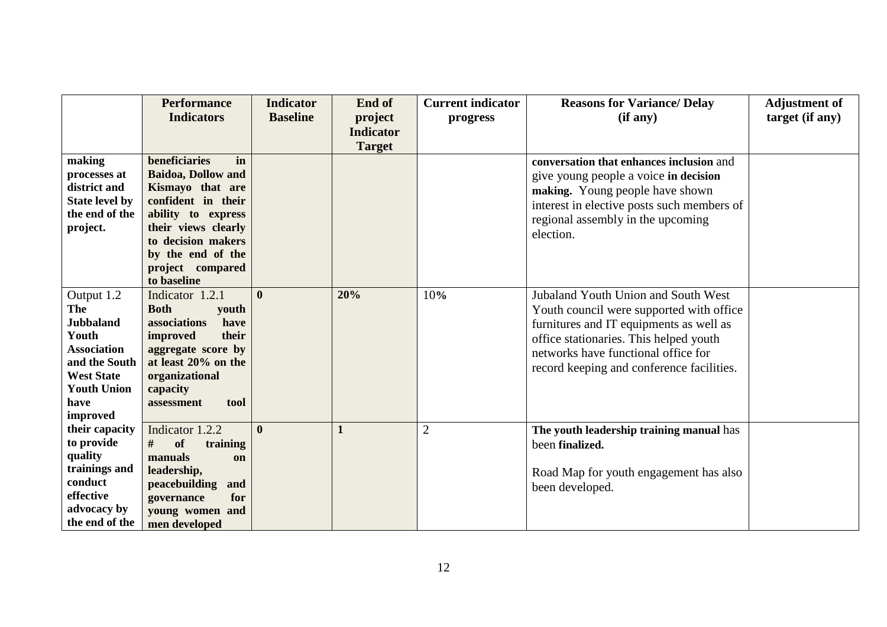| <b>Performance</b>  | <b>Indicator</b>                                                                                                                                                                                                                                                                                                                                                                                                                                                                                                                                                               | End of                                          | <b>Current indicator</b> | <b>Reasons for Variance/ Delay</b>       | <b>Adjustment of</b>                                                                                                                                                                                                                                                                                                                                                                                                                          |
|---------------------|--------------------------------------------------------------------------------------------------------------------------------------------------------------------------------------------------------------------------------------------------------------------------------------------------------------------------------------------------------------------------------------------------------------------------------------------------------------------------------------------------------------------------------------------------------------------------------|-------------------------------------------------|--------------------------|------------------------------------------|-----------------------------------------------------------------------------------------------------------------------------------------------------------------------------------------------------------------------------------------------------------------------------------------------------------------------------------------------------------------------------------------------------------------------------------------------|
|                     |                                                                                                                                                                                                                                                                                                                                                                                                                                                                                                                                                                                | project                                         | progress                 | (if any)                                 | target (if any)                                                                                                                                                                                                                                                                                                                                                                                                                               |
|                     |                                                                                                                                                                                                                                                                                                                                                                                                                                                                                                                                                                                | <b>Indicator</b>                                |                          |                                          |                                                                                                                                                                                                                                                                                                                                                                                                                                               |
|                     |                                                                                                                                                                                                                                                                                                                                                                                                                                                                                                                                                                                | <b>Target</b>                                   |                          |                                          |                                                                                                                                                                                                                                                                                                                                                                                                                                               |
| beneficiaries<br>in |                                                                                                                                                                                                                                                                                                                                                                                                                                                                                                                                                                                |                                                 |                          | conversation that enhances inclusion and |                                                                                                                                                                                                                                                                                                                                                                                                                                               |
|                     |                                                                                                                                                                                                                                                                                                                                                                                                                                                                                                                                                                                |                                                 |                          | give young people a voice in decision    |                                                                                                                                                                                                                                                                                                                                                                                                                                               |
|                     |                                                                                                                                                                                                                                                                                                                                                                                                                                                                                                                                                                                |                                                 |                          |                                          |                                                                                                                                                                                                                                                                                                                                                                                                                                               |
|                     |                                                                                                                                                                                                                                                                                                                                                                                                                                                                                                                                                                                |                                                 |                          |                                          |                                                                                                                                                                                                                                                                                                                                                                                                                                               |
|                     |                                                                                                                                                                                                                                                                                                                                                                                                                                                                                                                                                                                |                                                 |                          |                                          |                                                                                                                                                                                                                                                                                                                                                                                                                                               |
|                     |                                                                                                                                                                                                                                                                                                                                                                                                                                                                                                                                                                                |                                                 |                          |                                          |                                                                                                                                                                                                                                                                                                                                                                                                                                               |
|                     |                                                                                                                                                                                                                                                                                                                                                                                                                                                                                                                                                                                |                                                 |                          |                                          |                                                                                                                                                                                                                                                                                                                                                                                                                                               |
|                     |                                                                                                                                                                                                                                                                                                                                                                                                                                                                                                                                                                                |                                                 |                          |                                          |                                                                                                                                                                                                                                                                                                                                                                                                                                               |
|                     |                                                                                                                                                                                                                                                                                                                                                                                                                                                                                                                                                                                |                                                 |                          |                                          |                                                                                                                                                                                                                                                                                                                                                                                                                                               |
|                     |                                                                                                                                                                                                                                                                                                                                                                                                                                                                                                                                                                                |                                                 |                          |                                          |                                                                                                                                                                                                                                                                                                                                                                                                                                               |
|                     |                                                                                                                                                                                                                                                                                                                                                                                                                                                                                                                                                                                |                                                 |                          |                                          |                                                                                                                                                                                                                                                                                                                                                                                                                                               |
|                     |                                                                                                                                                                                                                                                                                                                                                                                                                                                                                                                                                                                |                                                 |                          |                                          |                                                                                                                                                                                                                                                                                                                                                                                                                                               |
|                     |                                                                                                                                                                                                                                                                                                                                                                                                                                                                                                                                                                                |                                                 |                          |                                          |                                                                                                                                                                                                                                                                                                                                                                                                                                               |
|                     |                                                                                                                                                                                                                                                                                                                                                                                                                                                                                                                                                                                |                                                 |                          | office stationaries. This helped youth   |                                                                                                                                                                                                                                                                                                                                                                                                                                               |
|                     |                                                                                                                                                                                                                                                                                                                                                                                                                                                                                                                                                                                |                                                 |                          | networks have functional office for      |                                                                                                                                                                                                                                                                                                                                                                                                                                               |
|                     |                                                                                                                                                                                                                                                                                                                                                                                                                                                                                                                                                                                |                                                 |                          |                                          |                                                                                                                                                                                                                                                                                                                                                                                                                                               |
|                     |                                                                                                                                                                                                                                                                                                                                                                                                                                                                                                                                                                                |                                                 |                          |                                          |                                                                                                                                                                                                                                                                                                                                                                                                                                               |
|                     |                                                                                                                                                                                                                                                                                                                                                                                                                                                                                                                                                                                |                                                 |                          |                                          |                                                                                                                                                                                                                                                                                                                                                                                                                                               |
|                     |                                                                                                                                                                                                                                                                                                                                                                                                                                                                                                                                                                                |                                                 |                          |                                          |                                                                                                                                                                                                                                                                                                                                                                                                                                               |
|                     |                                                                                                                                                                                                                                                                                                                                                                                                                                                                                                                                                                                |                                                 |                          |                                          |                                                                                                                                                                                                                                                                                                                                                                                                                                               |
|                     |                                                                                                                                                                                                                                                                                                                                                                                                                                                                                                                                                                                |                                                 |                          |                                          |                                                                                                                                                                                                                                                                                                                                                                                                                                               |
|                     |                                                                                                                                                                                                                                                                                                                                                                                                                                                                                                                                                                                |                                                 |                          |                                          |                                                                                                                                                                                                                                                                                                                                                                                                                                               |
|                     |                                                                                                                                                                                                                                                                                                                                                                                                                                                                                                                                                                                |                                                 |                          |                                          |                                                                                                                                                                                                                                                                                                                                                                                                                                               |
|                     |                                                                                                                                                                                                                                                                                                                                                                                                                                                                                                                                                                                |                                                 |                          |                                          |                                                                                                                                                                                                                                                                                                                                                                                                                                               |
|                     |                                                                                                                                                                                                                                                                                                                                                                                                                                                                                                                                                                                |                                                 |                          |                                          |                                                                                                                                                                                                                                                                                                                                                                                                                                               |
|                     |                                                                                                                                                                                                                                                                                                                                                                                                                                                                                                                                                                                |                                                 |                          |                                          |                                                                                                                                                                                                                                                                                                                                                                                                                                               |
|                     |                                                                                                                                                                                                                                                                                                                                                                                                                                                                                                                                                                                |                                                 |                          |                                          |                                                                                                                                                                                                                                                                                                                                                                                                                                               |
|                     | <b>Indicators</b><br><b>Baidoa, Dollow and</b><br>Kismayo that are<br>confident in their<br>ability to express<br>their views clearly<br>to decision makers<br>by the end of the<br>project compared<br>to baseline<br>Indicator 1.2.1<br><b>Both</b><br>youth<br>have<br>associations<br>improved<br>their<br>aggregate score by<br>at least 20% on the<br>organizational<br>capacity<br>tool<br>assessment<br>Indicator 1.2.2<br><b>of</b><br>#<br>training<br>manuals<br>on<br>leadership,<br>peacebuilding<br>and<br>for<br>governance<br>young women and<br>men developed | <b>Baseline</b><br>$\mathbf{0}$<br>$\mathbf{0}$ | 20%<br>1                 | 10%<br>$\overline{c}$                    | making. Young people have shown<br>interest in elective posts such members of<br>regional assembly in the upcoming<br>election.<br><b>Jubaland Youth Union and South West</b><br>Youth council were supported with office<br>furnitures and IT equipments as well as<br>record keeping and conference facilities.<br>The youth leadership training manual has<br>been finalized.<br>Road Map for youth engagement has also<br>been developed. |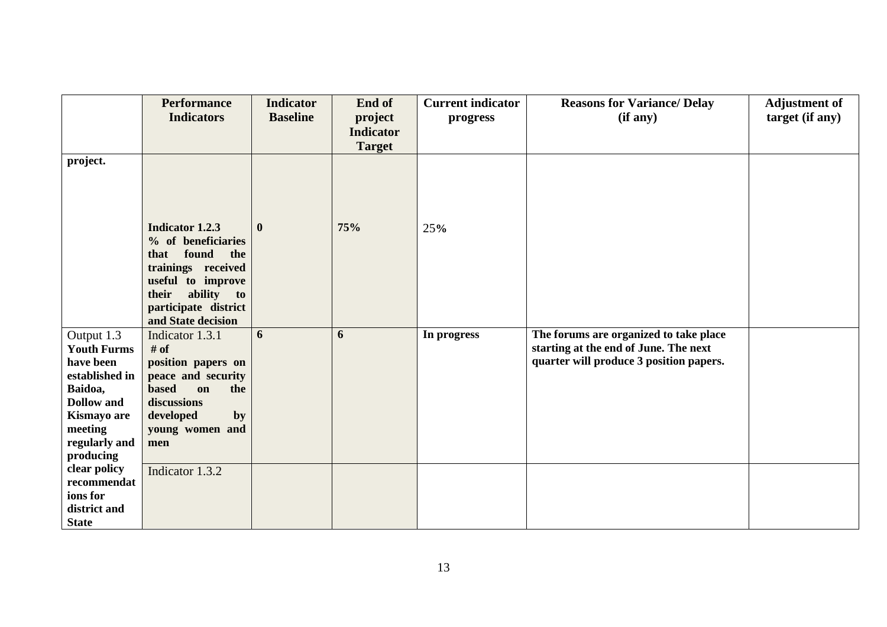|                                                                                                                                                                | <b>Performance</b>                                                                                                                                                                          | <b>Indicator</b> | End of           | <b>Current indicator</b> | <b>Reasons for Variance/ Delay</b>                                                                                         | <b>Adjustment of</b> |
|----------------------------------------------------------------------------------------------------------------------------------------------------------------|---------------------------------------------------------------------------------------------------------------------------------------------------------------------------------------------|------------------|------------------|--------------------------|----------------------------------------------------------------------------------------------------------------------------|----------------------|
|                                                                                                                                                                | <b>Indicators</b>                                                                                                                                                                           | <b>Baseline</b>  | project          | progress                 | (if any)                                                                                                                   | target (if any)      |
|                                                                                                                                                                |                                                                                                                                                                                             |                  | <b>Indicator</b> |                          |                                                                                                                            |                      |
|                                                                                                                                                                |                                                                                                                                                                                             |                  | <b>Target</b>    |                          |                                                                                                                            |                      |
| project.                                                                                                                                                       |                                                                                                                                                                                             |                  |                  |                          |                                                                                                                            |                      |
|                                                                                                                                                                | <b>Indicator 1.2.3</b><br>% of beneficiaries<br>that found the<br>trainings received<br>useful to improve<br>ability<br>their<br>$\mathbf{t}$<br>participate district<br>and State decision | $\mathbf{0}$     | 75%              | 25%                      |                                                                                                                            |                      |
| Output 1.3<br><b>Youth Furms</b><br>have been<br>established in<br>Baidoa,<br><b>Dollow</b> and<br><b>Kismayo</b> are<br>meeting<br>regularly and<br>producing | Indicator 1.3.1<br>$#$ of<br>position papers on<br>peace and security<br><b>based</b><br>on<br>the<br>discussions<br>developed<br>by<br>young women and<br>men                              | 6                | 6                | In progress              | The forums are organized to take place<br>starting at the end of June. The next<br>quarter will produce 3 position papers. |                      |
| clear policy<br>recommendat<br>ions for<br>district and<br><b>State</b>                                                                                        | Indicator 1.3.2                                                                                                                                                                             |                  |                  |                          |                                                                                                                            |                      |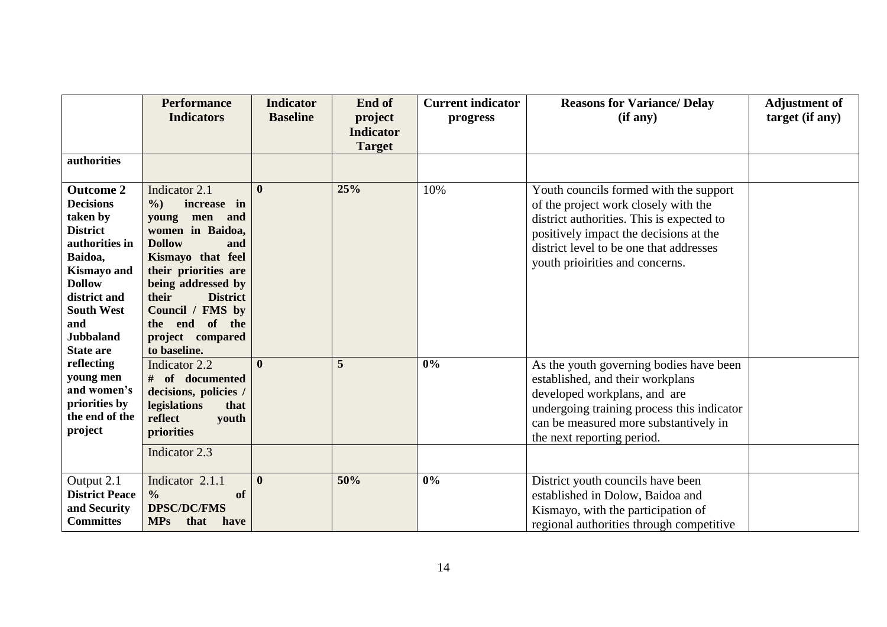|                                                                                                                                                                                                                             | <b>Performance</b><br><b>Indicators</b>                                                                                                                                                                                                                                                | <b>Indicator</b><br><b>Baseline</b> | End of<br>project<br><b>Indicator</b><br><b>Target</b> | <b>Current indicator</b><br>progress | <b>Reasons for Variance/ Delay</b><br>(if any)                                                                                                                                                                                                      | <b>Adjustment of</b><br>target (if any) |
|-----------------------------------------------------------------------------------------------------------------------------------------------------------------------------------------------------------------------------|----------------------------------------------------------------------------------------------------------------------------------------------------------------------------------------------------------------------------------------------------------------------------------------|-------------------------------------|--------------------------------------------------------|--------------------------------------|-----------------------------------------------------------------------------------------------------------------------------------------------------------------------------------------------------------------------------------------------------|-----------------------------------------|
| authorities                                                                                                                                                                                                                 |                                                                                                                                                                                                                                                                                        |                                     |                                                        |                                      |                                                                                                                                                                                                                                                     |                                         |
| <b>Outcome 2</b><br><b>Decisions</b><br>taken by<br><b>District</b><br>authorities in<br>Baidoa,<br><b>Kismayo and</b><br><b>Dollow</b><br>district and<br><b>South West</b><br>and<br><b>Jubbaland</b><br><b>State are</b> | Indicator 2.1<br>$\frac{6}{9}$<br>increase in<br>men and<br>young<br>women in Baidoa,<br><b>Dollow</b><br>and<br>Kismayo that feel<br>their priorities are<br>being addressed by<br><b>District</b><br>their<br>Council / FMS by<br>the end of the<br>project compared<br>to baseline. | $\bf{0}$                            | 25%                                                    | 10%                                  | Youth councils formed with the support<br>of the project work closely with the<br>district authorities. This is expected to<br>positively impact the decisions at the<br>district level to be one that addresses<br>youth prioirities and concerns. |                                         |
| reflecting<br>young men<br>and women's<br>priorities by<br>the end of the<br>project                                                                                                                                        | Indicator 2.2<br># of documented<br>decisions, policies /<br>legislations<br>that<br>reflect<br>youth<br>priorities                                                                                                                                                                    | $\bf{0}$                            | 5                                                      | 0%                                   | As the youth governing bodies have been<br>established, and their workplans<br>developed workplans, and are<br>undergoing training process this indicator<br>can be measured more substantively in<br>the next reporting period.                    |                                         |
|                                                                                                                                                                                                                             | Indicator 2.3                                                                                                                                                                                                                                                                          |                                     |                                                        |                                      |                                                                                                                                                                                                                                                     |                                         |
| Output 2.1<br><b>District Peace</b><br>and Security<br><b>Committes</b>                                                                                                                                                     | Indicator 2.1.1<br>$\frac{0}{0}$<br>of<br><b>DPSC/DC/FMS</b><br><b>MPs</b><br>that have                                                                                                                                                                                                | $\boldsymbol{0}$                    | 50%                                                    | 0%                                   | District youth councils have been<br>established in Dolow, Baidoa and<br>Kismayo, with the participation of<br>regional authorities through competitive                                                                                             |                                         |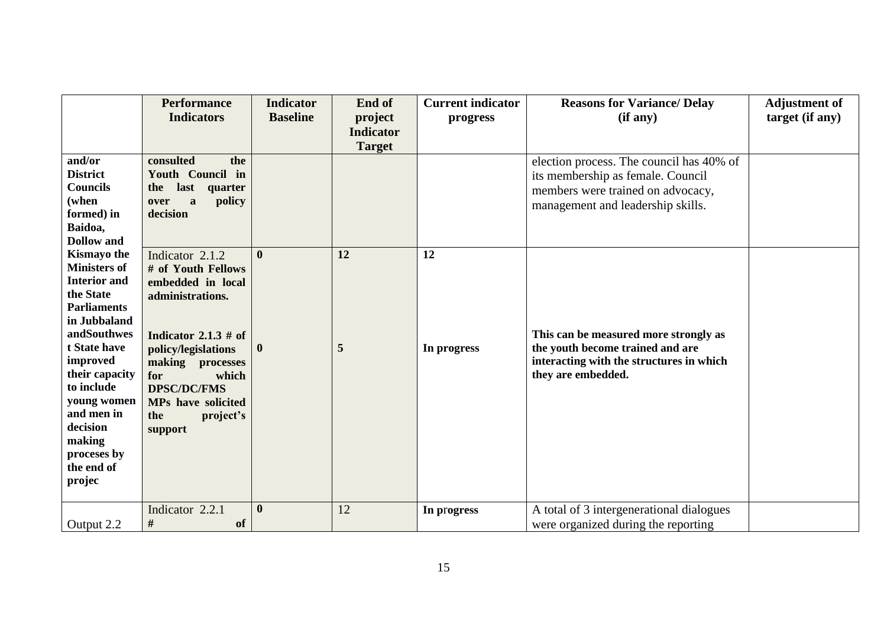|                                                                                                                                                                                  | <b>Performance</b><br><b>Indicators</b>                                                                                                                              | <b>Indicator</b><br><b>Baseline</b> | End of<br>project                 | <b>Current indicator</b><br>progress | <b>Reasons for Variance/Delay</b><br>(if any)                                                                                                           | <b>Adjustment of</b><br>target (if any) |
|----------------------------------------------------------------------------------------------------------------------------------------------------------------------------------|----------------------------------------------------------------------------------------------------------------------------------------------------------------------|-------------------------------------|-----------------------------------|--------------------------------------|---------------------------------------------------------------------------------------------------------------------------------------------------------|-----------------------------------------|
|                                                                                                                                                                                  |                                                                                                                                                                      |                                     | <b>Indicator</b><br><b>Target</b> |                                      |                                                                                                                                                         |                                         |
| and/or<br><b>District</b><br><b>Councils</b><br>(when<br>formed) in<br>Baidoa,<br><b>Dollow</b> and                                                                              | consulted<br>the<br>Youth Council in<br>last<br>quarter<br>the<br>policy<br>over<br>$\mathbf{a}$<br>decision                                                         |                                     |                                   |                                      | election process. The council has 40% of<br>its membership as female. Council<br>members were trained on advocacy,<br>management and leadership skills. |                                         |
| <b>Kismayo the</b><br><b>Ministers of</b><br><b>Interior and</b><br>the State<br><b>Parliaments</b><br>in Jubbaland<br>andSouthwes<br>t State have<br>improved<br>their capacity | Indicator 2.1.2<br># of Youth Fellows<br>embedded in local<br>administrations.<br>Indicator 2.1.3 $\#$ of<br>policy/legislations<br>making processes<br>which<br>for | $\mathbf{0}$<br>$\mathbf{0}$        | 12<br>5                           | 12<br>In progress                    | This can be measured more strongly as<br>the youth become trained and are<br>interacting with the structures in which<br>they are embedded.             |                                         |
| to include<br>young women<br>and men in<br>decision<br>making<br>proceses by<br>the end of<br>projec                                                                             | <b>DPSC/DC/FMS</b><br>MPs have solicited<br>the<br>project's<br>support                                                                                              |                                     |                                   |                                      |                                                                                                                                                         |                                         |
| Output 2.2                                                                                                                                                                       | Indicator 2.2.1<br>#<br>of                                                                                                                                           | $\mathbf{0}$                        | 12                                | In progress                          | A total of 3 intergenerational dialogues<br>were organized during the reporting                                                                         |                                         |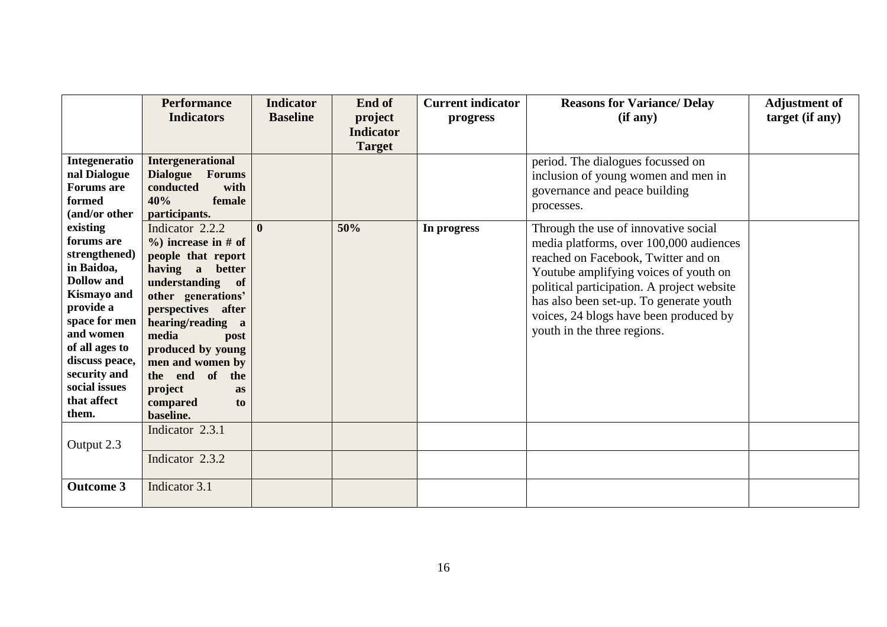|                                                                                                                                                                                                                                   | <b>Performance</b><br><b>Indicators</b>                                                                                                                                                                                                                                                                    | <b>Indicator</b><br><b>Baseline</b> | End of<br>project<br><b>Indicator</b> | <b>Current indicator</b><br>progress | <b>Reasons for Variance/ Delay</b><br>(if any)                                                                                                                                                                                                                                                                                    | <b>Adjustment of</b><br>target (if any) |
|-----------------------------------------------------------------------------------------------------------------------------------------------------------------------------------------------------------------------------------|------------------------------------------------------------------------------------------------------------------------------------------------------------------------------------------------------------------------------------------------------------------------------------------------------------|-------------------------------------|---------------------------------------|--------------------------------------|-----------------------------------------------------------------------------------------------------------------------------------------------------------------------------------------------------------------------------------------------------------------------------------------------------------------------------------|-----------------------------------------|
|                                                                                                                                                                                                                                   |                                                                                                                                                                                                                                                                                                            |                                     | <b>Target</b>                         |                                      |                                                                                                                                                                                                                                                                                                                                   |                                         |
| Integeneratio<br>nal Dialogue<br><b>Forums</b> are<br>formed<br>(and/or other                                                                                                                                                     | Intergenerational<br><b>Dialogue</b><br><b>Forums</b><br>with<br>conducted<br>40%<br>female<br>participants.                                                                                                                                                                                               |                                     |                                       |                                      | period. The dialogues focussed on<br>inclusion of young women and men in<br>governance and peace building<br>processes.                                                                                                                                                                                                           |                                         |
| existing<br>forums are<br>strengthened)<br>in Baidoa,<br><b>Dollow</b> and<br>Kismayo and<br>provide a<br>space for men<br>and women<br>of all ages to<br>discuss peace,<br>security and<br>social issues<br>that affect<br>them. | Indicator 2.2.2<br>$\%$ ) increase in # of<br>people that report<br>having a better<br>understanding<br>of<br>other generations'<br>perspectives after<br>hearing/reading a<br>media<br>post<br>produced by young<br>men and women by<br>the end of<br>the<br>project<br>as<br>compared<br>to<br>baseline. | $\mathbf{0}$                        | 50%                                   | In progress                          | Through the use of innovative social<br>media platforms, over 100,000 audiences<br>reached on Facebook, Twitter and on<br>Youtube amplifying voices of youth on<br>political participation. A project website<br>has also been set-up. To generate youth<br>voices, 24 blogs have been produced by<br>youth in the three regions. |                                         |
| Output 2.3                                                                                                                                                                                                                        | Indicator 2.3.1                                                                                                                                                                                                                                                                                            |                                     |                                       |                                      |                                                                                                                                                                                                                                                                                                                                   |                                         |
|                                                                                                                                                                                                                                   | Indicator 2.3.2                                                                                                                                                                                                                                                                                            |                                     |                                       |                                      |                                                                                                                                                                                                                                                                                                                                   |                                         |
| <b>Outcome 3</b>                                                                                                                                                                                                                  | Indicator 3.1                                                                                                                                                                                                                                                                                              |                                     |                                       |                                      |                                                                                                                                                                                                                                                                                                                                   |                                         |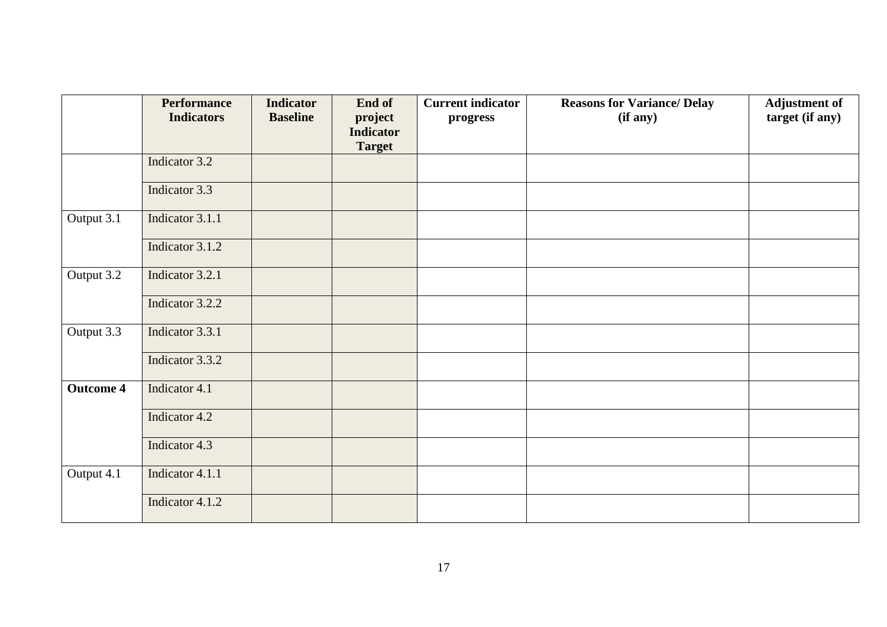|                  | <b>Performance</b><br><b>Indicators</b> | <b>Indicator</b><br><b>Baseline</b> | End of<br>project                 | <b>Current indicator</b><br>progress | <b>Reasons for Variance/ Delay</b><br>(if any) | <b>Adjustment of</b><br>target (if any) |
|------------------|-----------------------------------------|-------------------------------------|-----------------------------------|--------------------------------------|------------------------------------------------|-----------------------------------------|
|                  |                                         |                                     | <b>Indicator</b><br><b>Target</b> |                                      |                                                |                                         |
|                  | Indicator 3.2                           |                                     |                                   |                                      |                                                |                                         |
|                  | Indicator 3.3                           |                                     |                                   |                                      |                                                |                                         |
| Output 3.1       | Indicator 3.1.1                         |                                     |                                   |                                      |                                                |                                         |
|                  | Indicator 3.1.2                         |                                     |                                   |                                      |                                                |                                         |
| Output 3.2       | Indicator 3.2.1                         |                                     |                                   |                                      |                                                |                                         |
|                  | Indicator 3.2.2                         |                                     |                                   |                                      |                                                |                                         |
| Output 3.3       | Indicator 3.3.1                         |                                     |                                   |                                      |                                                |                                         |
|                  | Indicator 3.3.2                         |                                     |                                   |                                      |                                                |                                         |
| <b>Outcome 4</b> | Indicator 4.1                           |                                     |                                   |                                      |                                                |                                         |
|                  | Indicator 4.2                           |                                     |                                   |                                      |                                                |                                         |
|                  | Indicator 4.3                           |                                     |                                   |                                      |                                                |                                         |
| Output 4.1       | Indicator 4.1.1                         |                                     |                                   |                                      |                                                |                                         |
|                  | Indicator 4.1.2                         |                                     |                                   |                                      |                                                |                                         |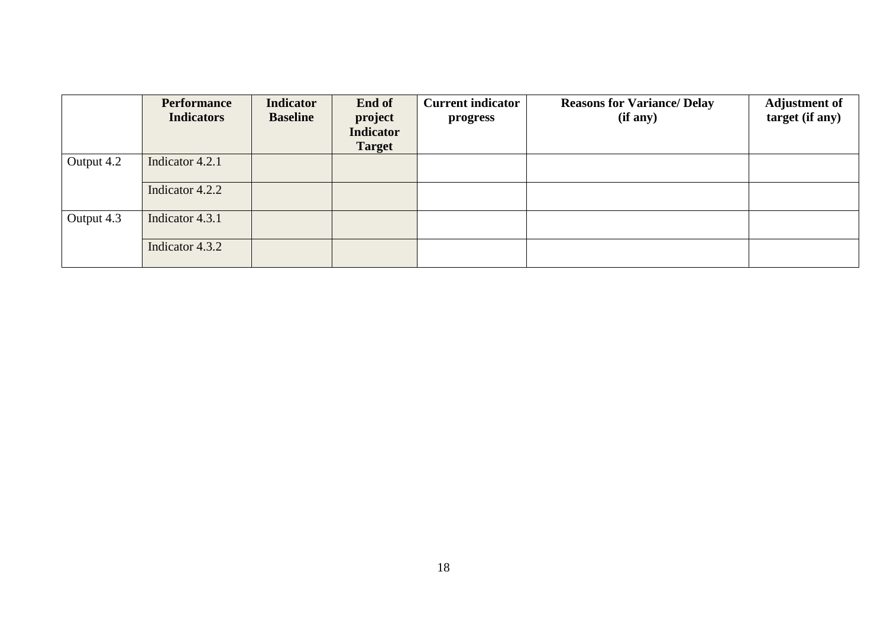|            | <b>Performance</b><br><b>Indicators</b> | <b>Indicator</b><br><b>Baseline</b> | End of<br>project<br><b>Indicator</b> | <b>Current indicator</b><br>progress | <b>Reasons for Variance/ Delay</b><br>(if any) | <b>Adjustment of</b><br>target (if any) |
|------------|-----------------------------------------|-------------------------------------|---------------------------------------|--------------------------------------|------------------------------------------------|-----------------------------------------|
|            |                                         |                                     | <b>Target</b>                         |                                      |                                                |                                         |
| Output 4.2 | Indicator 4.2.1                         |                                     |                                       |                                      |                                                |                                         |
|            | Indicator 4.2.2                         |                                     |                                       |                                      |                                                |                                         |
| Output 4.3 | Indicator 4.3.1                         |                                     |                                       |                                      |                                                |                                         |
|            | Indicator 4.3.2                         |                                     |                                       |                                      |                                                |                                         |